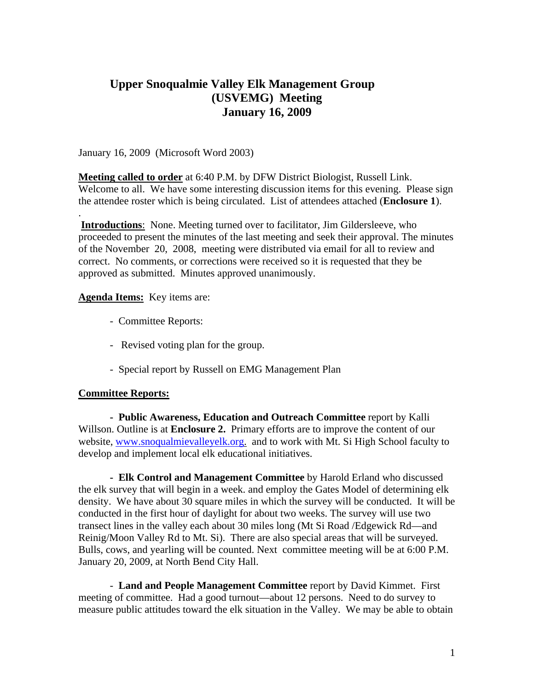# **Upper Snoqualmie Valley Elk Management Group (USVEMG) Meeting January 16, 2009**

January 16, 2009 (Microsoft Word 2003)

**Meeting called to order** at 6:40 P.M. by DFW District Biologist, Russell Link. Welcome to all. We have some interesting discussion items for this evening. Please sign the attendee roster which is being circulated. List of attendees attached (**Enclosure 1**).

. **Introductions**: None. Meeting turned over to facilitator, Jim Gildersleeve, who proceeded to present the minutes of the last meeting and seek their approval. The minutes of the November 20, 2008, meeting were distributed via email for all to review and correct. No comments, or corrections were received so it is requested that they be approved as submitted. Minutes approved unanimously.

## **Agenda Items:** Key items are:

- Committee Reports:
- Revised voting plan for the group.
- Special report by Russell on EMG Management Plan

## **Committee Reports:**

**- Public Awareness, Education and Outreach Committee** report by Kalli Willson. Outline is at **Enclosure 2.** Primary efforts are to improve the content of our website, www.snoqualmievalleyelk.org. and to work with Mt. Si High School faculty to develop and implement local elk educational initiatives.

**- Elk Control and Management Committee** by Harold Erland who discussed the elk survey that will begin in a week. and employ the Gates Model of determining elk density. We have about 30 square miles in which the survey will be conducted. It will be conducted in the first hour of daylight for about two weeks. The survey will use two transect lines in the valley each about 30 miles long (Mt Si Road /Edgewick Rd—and Reinig/Moon Valley Rd to Mt. Si). There are also special areas that will be surveyed. Bulls, cows, and yearling will be counted. Next committee meeting will be at 6:00 P.M. January 20, 2009, at North Bend City Hall.

- **Land and People Management Committee** report by David Kimmet. First meeting of committee. Had a good turnout—about 12 persons. Need to do survey to measure public attitudes toward the elk situation in the Valley. We may be able to obtain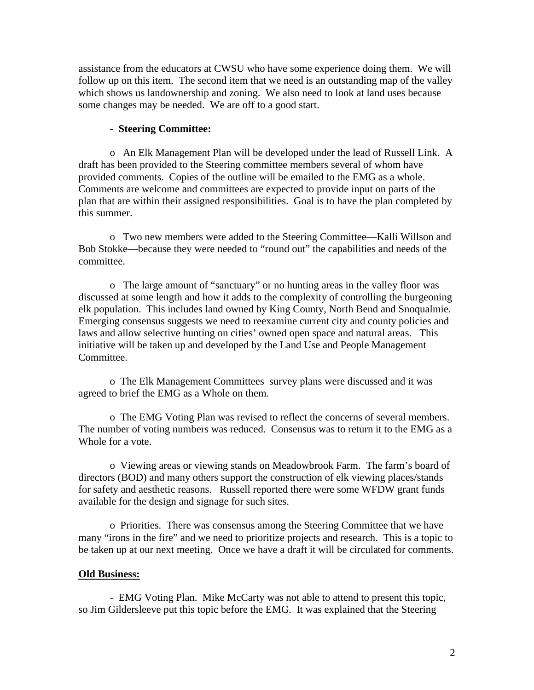assistance from the educators at CWSU who have some experience doing them. We will follow up on this item. The second item that we need is an outstanding map of the valley which shows us landownership and zoning. We also need to look at land uses because some changes may be needed. We are off to a good start.

## **- Steering Committee:**

o An Elk Management Plan will be developed under the lead of Russell Link. A draft has been provided to the Steering committee members several of whom have provided comments. Copies of the outline will be emailed to the EMG as a whole. Comments are welcome and committees are expected to provide input on parts of the plan that are within their assigned responsibilities. Goal is to have the plan completed by this summer.

oTwo new members were added to the Steering Committee—Kalli Willson and Bob Stokke—because they were needed to "round out" the capabilities and needs of the committee.

o The large amount of "sanctuary" or no hunting areas in the valley floor was discussed at some length and how it adds to the complexity of controlling the burgeoning elk population. This includes land owned by King County, North Bend and Snoqualmie. Emerging consensus suggests we need to reexamine current city and county policies and laws and allow selective hunting on cities' owned open space and natural areas. This initiative will be taken up and developed by the Land Use and People Management Committee.

o The Elk Management Committees survey plans were discussed and it was agreed to brief the EMG as a Whole on them.

o The EMG Voting Plan was revised to reflect the concerns of several members. The number of voting numbers was reduced. Consensus was to return it to the EMG as a Whole for a vote.

o Viewing areas or viewing stands on Meadowbrook Farm. The farm's board of directors (BOD) and many others support the construction of elk viewing places/stands for safety and aesthetic reasons. Russell reported there were some WFDW grant funds available for the design and signage for such sites.

o Priorities. There was consensus among the Steering Committee that we have many "irons in the fire" and we need to prioritize projects and research. This is a topic to be taken up at our next meeting. Once we have a draft it will be circulated for comments.

#### **Old Business:**

- EMG Voting Plan. Mike McCarty was not able to attend to present this topic, so Jim Gildersleeve put this topic before the EMG. It was explained that the Steering